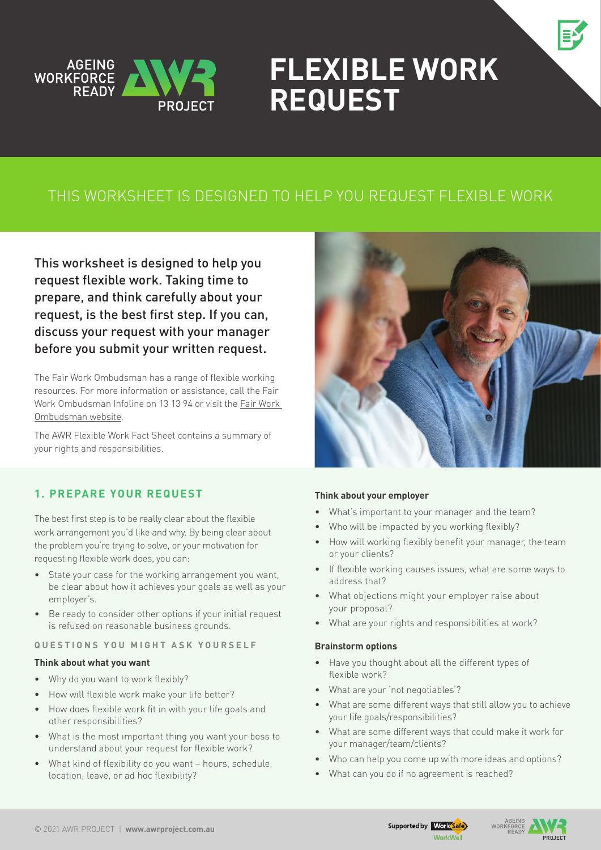

# **Flexible work Request**

### This worksheet is designed to help you request flexible work

This worksheet is designed to help you request flexible work. Taking time to prepare, and think carefully about your request, is the best first step. If you can, discuss your request with your manager before you submit your written request.

The Fair Work Ombudsman has a range of flexible working resources. For more information or assistance, call the Fair Work Ombudsman Infoline on 13 13 94 or visit the [Fair Work](https://www.fairwork.gov.au/employee-entitlements/flexibility-in-the-workplace)  [Ombudsman website](https://www.fairwork.gov.au/employee-entitlements/flexibility-in-the-workplace).

The AWR Flexible Work Fact Sheet contains a summary of your rights and responsibilities.

#### **1. Prepare your request**

The best first step is to be really clear about the flexible work arrangement you'd like and why. By being clear about the problem you're trying to solve, or your motivation for requesting flexible work does, you can:

- State your case for the working arrangement you want, be clear about how it achieves your goals as well as your employer's.
- Be ready to consider other options if your initial request is refused on reasonable business grounds.

#### **Q u e s t i o n s y o u m i g h t a s k y o u r s e l f**

#### **Think about what you want**

- Why do you want to work flexibly?
- How will flexible work make your life better?
- How does flexible work fit in with your life goals and other responsibilities?
- What is the most important thing you want your boss to understand about your request for flexible work?
- What kind of flexibility do you want hours, schedule, location, leave, or ad hoc flexibility?



#### **Think about your employer**

- What's important to your manager and the team?
- Who will be impacted by you working flexibly?
- How will working flexibly benefit your manager, the team or your clients?
- If flexible working causes issues, what are some ways to address that?
- What objections might your employer raise about your proposal?
- What are your rights and responsibilities at work?

#### **Brainstorm options**

- • Have you thought about all the different types of flexible work?
- What are your 'not negotiables'?
- What are some different ways that still allow you to achieve your life goals/responsibilities?
- What are some different ways that could make it work for your manager/team/clients?
- Who can help you come up with more ideas and options?
- What can you do if no agreement is reached?



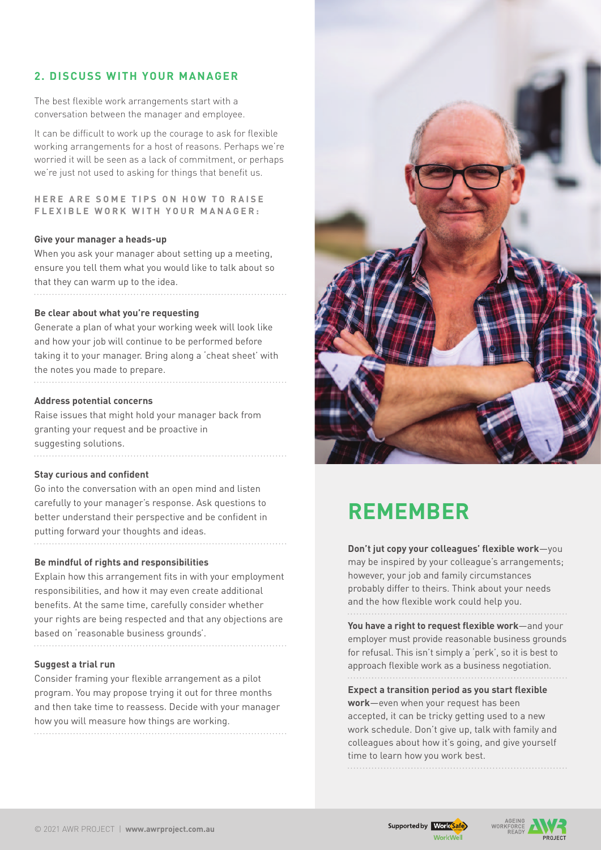#### **2. Discuss with your manager**

The best flexible work arrangements start with a conversation between the manager and employee.

It can be difficult to work up the courage to ask for flexible working arrangements for a host of reasons. Perhaps we're worried it will be seen as a lack of commitment, or perhaps we're just not used to asking for things that benefit us.

**HERE ARE SOME TIPS ON HOW TO RAISE f l e x i b l e w o r k w i t h y o u r m a n a g e r :**

#### **Give your manager a heads-up**

When you ask your manager about setting up a meeting, ensure you tell them what you would like to talk about so that they can warm up to the idea. 

#### **Be clear about what you're requesting**

Generate a plan of what your working week will look like and how your job will continue to be performed before taking it to your manager. Bring along a 'cheat sheet' with the notes you made to prepare. 

#### **Address potential concerns**

Raise issues that might hold your manager back from granting your request and be proactive in suggesting solutions.

#### **Stay curious and confident**

Go into the conversation with an open mind and listen carefully to your manager's response. Ask questions to better understand their perspective and be confident in putting forward your thoughts and ideas.

#### **Be mindful of rights and responsibilities**

Explain how this arrangement fits in with your employment responsibilities, and how it may even create additional benefits. At the same time, carefully consider whether your rights are being respected and that any objections are based on 'reasonable business grounds'.

#### **Suggest a trial run**

Consider framing your flexible arrangement as a pilot program. You may propose trying it out for three months and then take time to reassess. Decide with your manager how you will measure how things are working.



## **Remember**

**Don't jut copy your colleagues' flexible work**—you may be inspired by your colleague's arrangements; however, your job and family circumstances probably differ to theirs. Think about your needs and the how flexible work could help you.

**You have a right to request flexible work**—and your employer must provide reasonable business grounds for refusal. This isn't simply a 'perk', so it is best to approach flexible work as a business negotiation. 

#### **Expect a transition period as you start flexible work**—even when your request has been accepted, it can be tricky getting used to a new work schedule. Don't give up, talk with family and colleagues about how it's going, and give yourself time to learn how you work best.